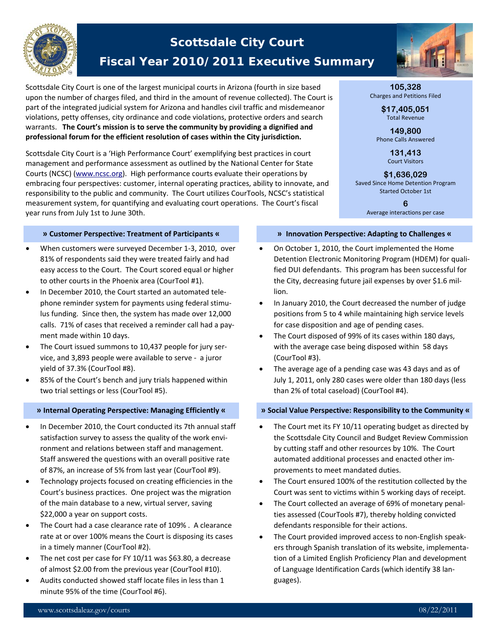

# **Scottsdale City Court**

## **Fiscal Year 2010/2011 Executive Summary**

Scottsdale City Court is one of the largest municipal courts in Arizona (fourth in size based upon the number of charges filed, and third in the amount of revenue collected). The Court is part of the integrated judicial system for Arizona and handles civil traffic and misdemeanor violations, petty offenses, city ordinance and code violations, protective orders and search warrants. **The Court's mission is to serve the community by providing a dignified and professional forum for the efficient resolution of cases within the City jurisdiction.**

Scottsdale City Court is a 'High Performance Court' exemplifying best practices in court management and performance assessment as outlined by the National Center for State Courts (NCSC) (www.ncsc.org). High performance courts evaluate their operations by embracing four perspectives: customer, internal operating practices, ability to innovate, and responsibility to the public and community. The Court utilizes CourTools, NCSC's statistical measurement system, for quantifying and evaluating court operations. The Court's fiscal year runs from July 1st to June 30th.

#### **» Customer Perspective: Treatment of Participants «**

- When customers were surveyed December 1‐3, 2010, over 81% of respondents said they were treated fairly and had easy access to the Court. The Court scored equal or higher to other courts in the Phoenix area (CourTool #1).
- In December 2010, the Court started an automated tele‐ phone reminder system for payments using federal stimu‐ lus funding. Since then, the system has made over 12,000 calls. 71% of cases that received a reminder call had a pay‐ ment made within 10 days.
- The Court issued summons to 10,437 people for jury ser‐ vice, and 3,893 people were available to serve ‐ a juror yield of 37.3% (CourTool #8).
- 85% of the Court's bench and jury trials happened within two trial settings or less (CourTool #5).

- In December 2010, the Court conducted its 7th annual staff satisfaction survey to assess the quality of the work envi‐ ronment and relations between staff and management. Staff answered the questions with an overall positive rate of 87%, an increase of 5% from last year (CourTool #9).
- Technology projects focused on creating efficiencies in the Court's business practices. One project was the migration of the main database to a new, virtual server, saving \$22,000 a year on support costs.
- The Court had a case clearance rate of 109% . A clearance rate at or over 100% means the Court is disposing its cases in a timely manner (CourTool #2).
- The net cost per case for FY 10/11 was \$63.80, a decrease of almost \$2.00 from the previous year (CourTool #10).
- Audits conducted showed staff locate files in less than 1 minute 95% of the time (CourTool #6).



#### **105,328**  Charges and Petitions Filed

**\$17,405,051**  Total Revenue

**149,800**  Phone Calls Answered

> **131,413**  Court Visitors

**\$1,636,029**  Saved Since Home Detention Program Started October 1st

> **6**  Average interactions per case

#### **» Innovation Perspective: Adapting to Challenges «**

- On October 1, 2010, the Court implemented the Home Detention Electronic Monitoring Program (HDEM) for quali‐ fied DUI defendants. This program has been successful for the City, decreasing future jail expenses by over \$1.6 mil‐ lion.
- In January 2010, the Court decreased the number of judge positions from 5 to 4 while maintaining high service levels for case disposition and age of pending cases.
- The Court disposed of 99% of its cases within 180 days, with the average case being disposed within 58 days (CourTool #3).
- The average age of a pending case was 43 days and as of July 1, 2011, only 280 cases were older than 180 days (less than 2% of total caseload) (CourTool #4).

### » Internal Operating Perspective: Managing Efficiently « We Social Value Perspective: Responsibility to the Community «

- The Court met its FY 10/11 operating budget as directed by the Scottsdale City Council and Budget Review Commission by cutting staff and other resources by 10%. The Court automated additional processes and enacted other im‐ provements to meet mandated duties.
- The Court ensured 100% of the restitution collected by the Court was sent to victims within 5 working days of receipt.
- The Court collected an average of 69% of monetary penalties assessed (CourTools #7), thereby holding convicted defendants responsible for their actions.
- The Court provided improved access to non‐English speak‐ ers through Spanish translation of its website, implementa‐ tion of a Limited English Proficiency Plan and development of Language Identification Cards (which identify 38 lan‐ guages).